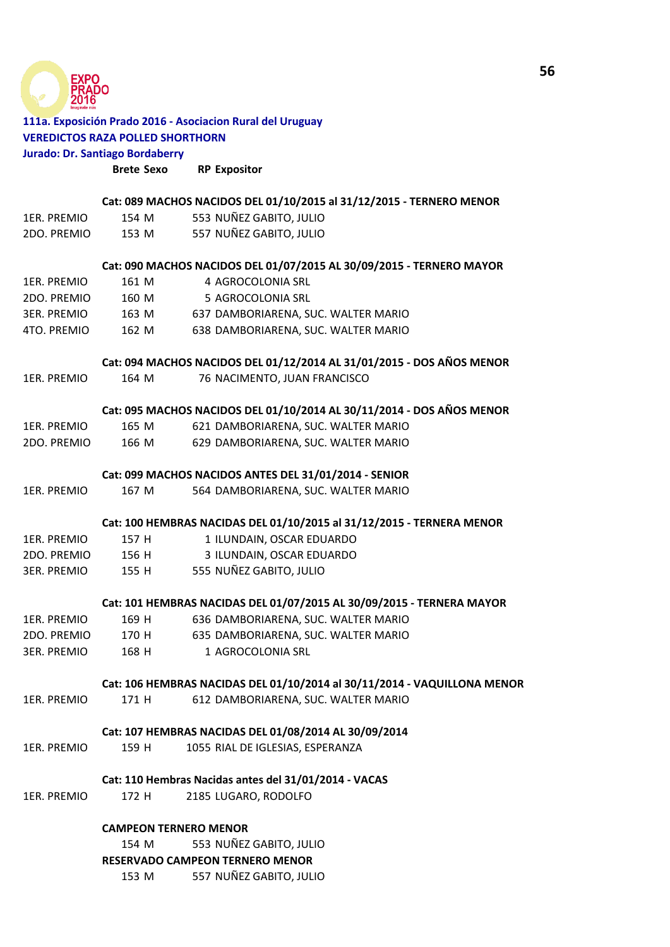

## **111a. Exposición Prado 2016 - Asociacion Rural del Uruguay VEREDICTOS RAZA POLLED SHORTHORN Jurado: Dr. Santiago Bordaberry**

|                    | <b>Brete Sexo</b>                                                        | <b>RP Expositor</b>                                                   |
|--------------------|--------------------------------------------------------------------------|-----------------------------------------------------------------------|
|                    |                                                                          | Cat: 089 MACHOS NACIDOS DEL 01/10/2015 al 31/12/2015 - TERNERO MENOR  |
| 1ER. PREMIO        | 154 M                                                                    | 553 NUÑEZ GABITO, JULIO                                               |
| 2DO. PREMIO        | 153 M                                                                    | 557 NUÑEZ GABITO, JULIO                                               |
|                    |                                                                          | Cat: 090 MACHOS NACIDOS DEL 01/07/2015 AL 30/09/2015 - TERNERO MAYOR  |
| 1ER. PREMIO        | 161 M                                                                    | 4 AGROCOLONIA SRL                                                     |
| 2DO. PREMIO        | 160 M                                                                    | 5 AGROCOLONIA SRL                                                     |
| 3ER. PREMIO        |                                                                          | 163 M 637 DAMBORIARENA, SUC. WALTER MARIO                             |
| 4TO. PREMIO        | 162 M                                                                    | 638 DAMBORIARENA, SUC. WALTER MARIO                                   |
|                    |                                                                          | Cat: 094 MACHOS NACIDOS DEL 01/12/2014 AL 31/01/2015 - DOS AÑOS MENOR |
| 1ER. PREMIO        | 164 M                                                                    | 76 NACIMENTO, JUAN FRANCISCO                                          |
|                    |                                                                          | Cat: 095 MACHOS NACIDOS DEL 01/10/2014 AL 30/11/2014 - DOS AÑOS MENOR |
| 1ER. PREMIO        | 165 M                                                                    | 621 DAMBORIARENA, SUC. WALTER MARIO                                   |
| 2DO. PREMIO        | 166 M                                                                    | 629 DAMBORIARENA, SUC. WALTER MARIO                                   |
|                    | Cat: 099 MACHOS NACIDOS ANTES DEL 31/01/2014 - SENIOR                    |                                                                       |
| 1ER. PREMIO        | 167 M                                                                    | 564 DAMBORIARENA, SUC. WALTER MARIO                                   |
|                    |                                                                          | Cat: 100 HEMBRAS NACIDAS DEL 01/10/2015 al 31/12/2015 - TERNERA MENOR |
| 1ER. PREMIO        | 157 H                                                                    | 1 ILUNDAIN, OSCAR EDUARDO                                             |
| 2DO. PREMIO        | 156 H                                                                    | 3 ILUNDAIN, OSCAR EDUARDO                                             |
| <b>3ER. PREMIO</b> |                                                                          | 155 H 555 NUÑEZ GABITO, JULIO                                         |
|                    |                                                                          | Cat: 101 HEMBRAS NACIDAS DEL 01/07/2015 AL 30/09/2015 - TERNERA MAYOR |
| 1ER. PREMIO        | 169 H                                                                    | 636 DAMBORIARENA, SUC. WALTER MARIO                                   |
| 2DO. PREMIO        | 170 H                                                                    | 635 DAMBORIARENA, SUC. WALTER MARIO                                   |
| <b>3ER. PREMIO</b> | 168 H                                                                    | 1 AGROCOLONIA SRL                                                     |
|                    | Cat: 106 HEMBRAS NACIDAS DEL 01/10/2014 al 30/11/2014 - VAQUILLONA MENOR |                                                                       |
| 1ER. PREMIO        | 171 H                                                                    | 612 DAMBORIARENA, SUC. WALTER MARIO                                   |
|                    |                                                                          | Cat: 107 HEMBRAS NACIDAS DEL 01/08/2014 AL 30/09/2014                 |
| 1ER. PREMIO        | 159 H                                                                    | 1055 RIAL DE IGLESIAS, ESPERANZA                                      |
|                    |                                                                          | Cat: 110 Hembras Nacidas antes del 31/01/2014 - VACAS                 |
| 1ER. PREMIO        | 172 H                                                                    | 2185 LUGARO, RODOLFO                                                  |
|                    | <b>CAMPEON TERNERO MENOR</b>                                             |                                                                       |
|                    | 154 M                                                                    | 553 NUÑEZ GABITO, JULIO                                               |
|                    |                                                                          | RESERVADO CAMPEON TERNERO MENOR                                       |

153 M 557 NUÑEZ GABITO, JULIO